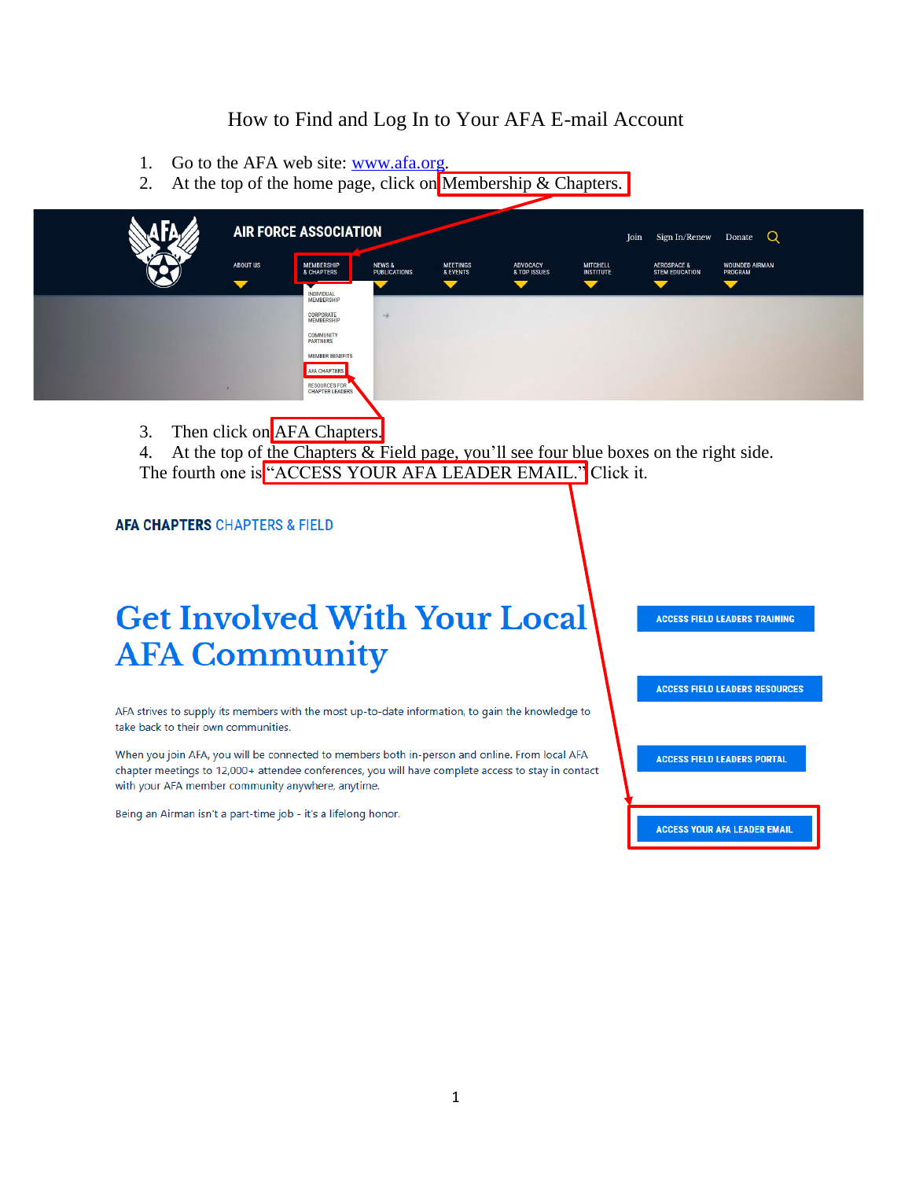### How to Find and Log In to Your AFA E-mail Account

- 1. Go to the AFA web site: [www.afa.org.](http://www.afa.org/)
- 2. At the top of the home page, click on Membership  $&$  Chapters.

|                      | <b>AIR FORCE ASSOCIATION</b>                        |                                          |                             |                                 |                                     | Sign In/Renew<br>Join                           | Q<br>Donate                      |
|----------------------|-----------------------------------------------------|------------------------------------------|-----------------------------|---------------------------------|-------------------------------------|-------------------------------------------------|----------------------------------|
| <b>ABOUT US</b>      | <b>MEMBERSHIP</b><br><b>&amp; CHAPTERS</b>          | <b>NEWS &amp;</b><br><b>PUBLICATIONS</b> | <b>MEETINGS</b><br>& EVENTS | <b>ADVOCACY</b><br>& TOP ISSUES | <b>MITCHELL</b><br><b>INSTITUTE</b> | <b>AEROSPACE &amp;</b><br><b>STEM EDUCATION</b> | <b>WOUNDED AIRMAN</b><br>PROGRAM |
| $\blacktriangledown$ | ▼<br><b>INDIVIDUAL</b><br><b>MEMBERSHIP</b>         |                                          |                             | ▼                               |                                     | $\blacktriangledown$                            | $\blacktriangledown$             |
|                      | CORPORATE<br><b>MEMBERSHIP</b><br>2012년 2012년 1월 2일 | $\rightarrow$                            |                             |                                 |                                     |                                                 |                                  |
|                      | <b>COMMUNITY</b><br><b>PARTNERS</b>                 |                                          |                             |                                 |                                     |                                                 |                                  |
|                      | <b>MEMBER BENEFITS</b><br><b>AFA CHAPTERS</b>       |                                          |                             |                                 |                                     |                                                 |                                  |
|                      | RESOURCES FOR                                       |                                          |                             |                                 |                                     |                                                 |                                  |

3. Then click on AFA Chapters.

4. At the top of the Chapters & Field page, you'll see four blue boxes on the right side. The fourth one is "ACCESS YOUR AFA LEADER EMAIL." Click it.

#### **AFA CHAPTERS CHAPTERS & FIELD**

## **Get Involved With Your Local AFA Community**

AFA strives to supply its members with the most up-to-date information, to gain the knowledge to take back to their own communities.

When you join AFA, you will be connected to members both in-person and online. From local AFA chapter meetings to 12,000+ attendee conferences, you will have complete access to stay in contact with your AFA member community anywhere, anytime.

Being an Airman isn't a part-time job - it's a lifelong honor.

**ACCESS FIELD LEADERS TRAINING** 

**ACCESS FIELD LEADERS RESOURCES** 

**ACCESS FIELD LEADERS PORTAL** 

**ACCESS YOUR AFA LEADER EMAIL**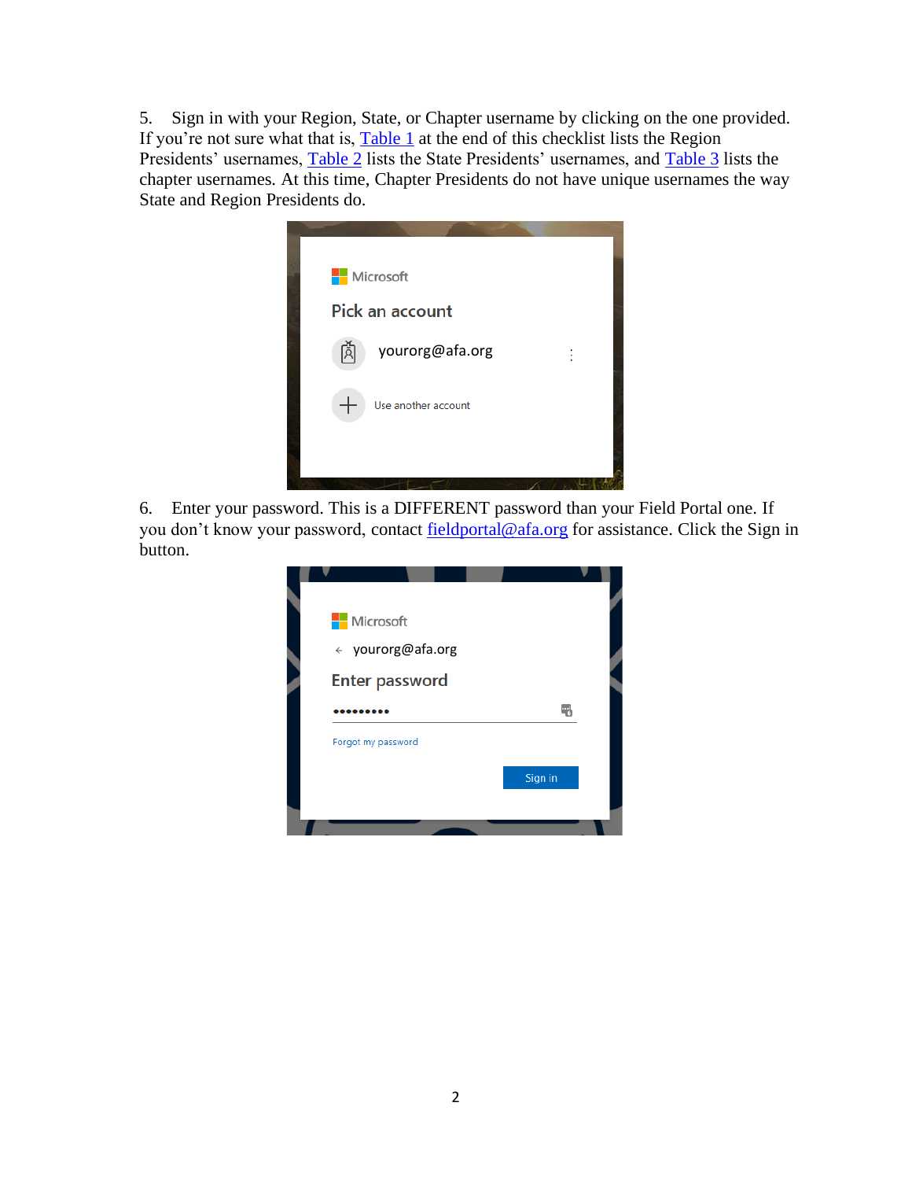5. Sign in with your Region, State, or Chapter username by clicking on the one provided. If you're not sure what that is, **[Table 1](#page-5-0)** at the end of this checklist lists the Region Presidents' usernames, [Table 2](#page-5-1) lists the State Presidents' usernames, and [Table 3](#page-6-0) lists the chapter usernames. At this time, Chapter Presidents do not have unique usernames the way State and Region Presidents do.



6. Enter your password. This is a DIFFERENT password than your Field Portal one. If you don't know your password, contact [fieldportal@afa.org](mailto:fieldportal@afa.org) for assistance. Click the Sign in button.

| Microsoft             |         |  |
|-----------------------|---------|--|
| ← yourorg@afa.org     |         |  |
| <b>Enter password</b> |         |  |
|                       |         |  |
| Forgot my password    |         |  |
|                       | Sign in |  |
|                       |         |  |
|                       |         |  |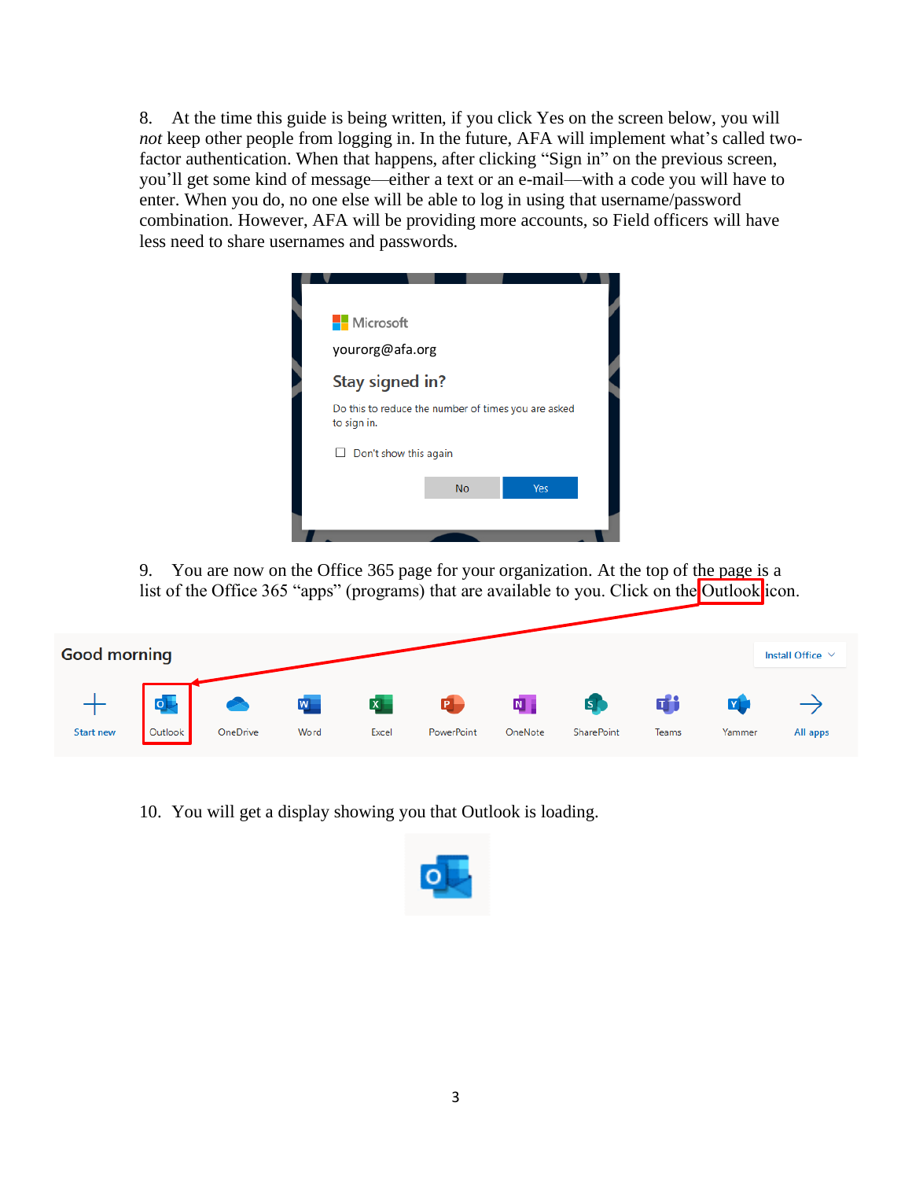8. At the time this guide is being written, if you click Yes on the screen below, you will *not* keep other people from logging in. In the future, AFA will implement what's called twofactor authentication. When that happens, after clicking "Sign in" on the previous screen, you'll get some kind of message—either a text or an e-mail—with a code you will have to enter. When you do, no one else will be able to log in using that username/password combination. However, AFA will be providing more accounts, so Field officers will have less need to share usernames and passwords.



9. You are now on the Office 365 page for your organization. At the top of the page is a list of the Office 365 "apps" (programs) that are available to you. Click on the Outlook icon.

| <b>Good morning</b> |         |          |                         |              |            |                |                         |       |        | Install Office V |
|---------------------|---------|----------|-------------------------|--------------|------------|----------------|-------------------------|-------|--------|------------------|
|                     | o       |          | $\overline{\mathsf{w}}$ | $\mathbf{x}$ | P          | $\blacksquare$ | $\overline{\mathsf{s}}$ | П.    |        |                  |
| <b>Start new</b>    | Outlook | OneDrive | Word                    | Excel        | PowerPoint | OneNote        | <b>SharePoint</b>       | Teams | Yammer | All apps         |

10. You will get a display showing you that Outlook is loading.

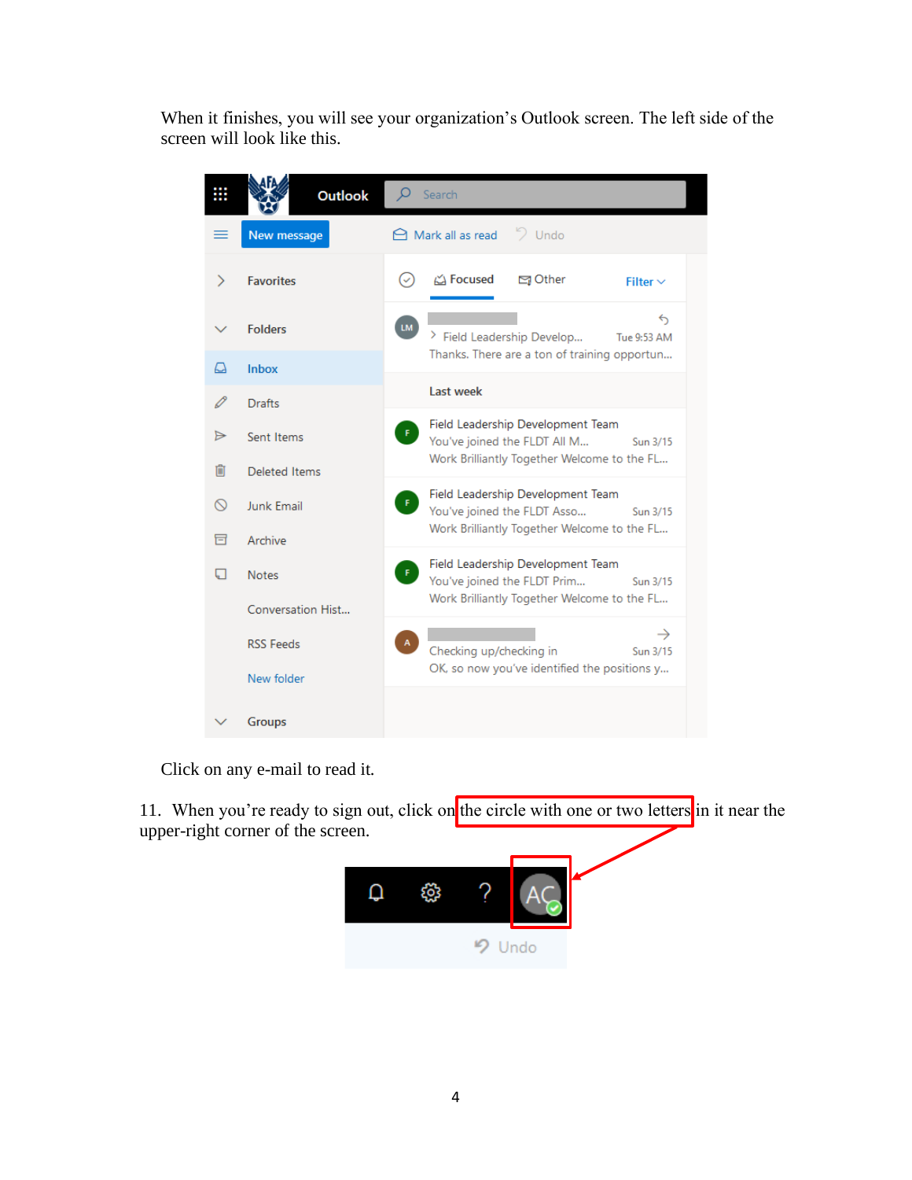When it finishes, you will see your organization's Outlook screen. The left side of the screen will look like this.

|          | <b>Outlook</b>       | Search                                                                                                                             |
|----------|----------------------|------------------------------------------------------------------------------------------------------------------------------------|
|          | New message          | $\bigoplus$ Mark all as read $\bigcirc$ Undo                                                                                       |
| ⋗        | <b>Favorites</b>     | △ Focused<br>□ Other<br>$(\checkmark)$<br>Filter $\vee$                                                                            |
|          | <b>Folders</b>       | $\leftrightarrow$<br><b>LM</b><br>> Field Leadership Develop<br>Tue 9:53 AM                                                        |
| LJ       | Inbox                | Thanks. There are a ton of training opportun                                                                                       |
| 0        | <b>Drafts</b>        | Last week                                                                                                                          |
| ⊳        | Sent Items           | Field Leadership Development Team<br>You've joined the FLDT All M<br>Sun 3/15                                                      |
| 而        | <b>Deleted Items</b> | Work Brilliantly Together Welcome to the FL                                                                                        |
| $\infty$ | Junk Email           | Field Leadership Development Team<br>-F.<br>You've joined the FLDT Asso<br>Sun 3/15<br>Work Brilliantly Together Welcome to the FL |
| 冒        | Archive              |                                                                                                                                    |
|          | <b>Notes</b>         | Field Leadership Development Team<br>F.<br>You've joined the FLDT Prim<br>Sun 3/15<br>Work Brilliantly Together Welcome to the FL  |
|          | Conversation Hist    |                                                                                                                                    |
|          | <b>RSS Feeds</b>     | $\rightarrow$<br>Checking up/checking in<br>Sun 3/15                                                                               |
|          | New folder           | OK, so now you've identified the positions y                                                                                       |
|          | <b>Groups</b>        |                                                                                                                                    |

Click on any e-mail to read it.

11. When you're ready to sign out, click on the circle with one or two letters in it near the upper-right corner of the screen.

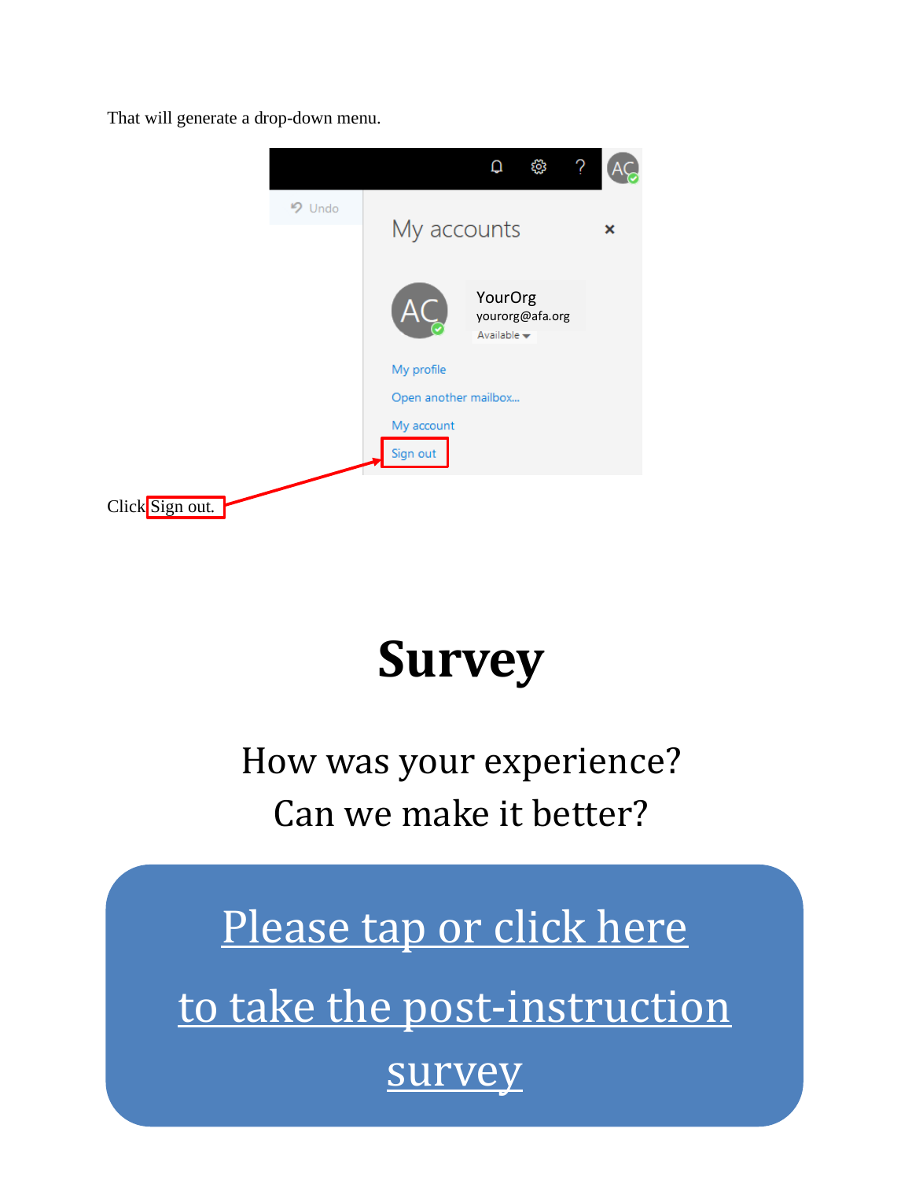That will generate a drop-down menu.

|                 |               |                        | Q                                         | ్ట్ర            |   |  |
|-----------------|---------------|------------------------|-------------------------------------------|-----------------|---|--|
|                 | <b>り Undo</b> |                        |                                           |                 |   |  |
|                 |               | My accounts            |                                           |                 | × |  |
|                 |               |                        | YourOrg<br>Available $\blacktriangledown$ | yourorg@afa.org |   |  |
|                 |               | My profile             |                                           |                 |   |  |
|                 |               | Open another mailbox   |                                           |                 |   |  |
|                 |               | My account<br>Sign out |                                           |                 |   |  |
| Click Sign out. |               |                        |                                           |                 |   |  |

# **Survey**

How was your experience? Can we make it better?

5 [survey](https://www.surveymonkey.com/r/J8YBNL6)[Please tap or click here](https://www.surveymonkey.com/r/J8YBNL6) to take the post-instruction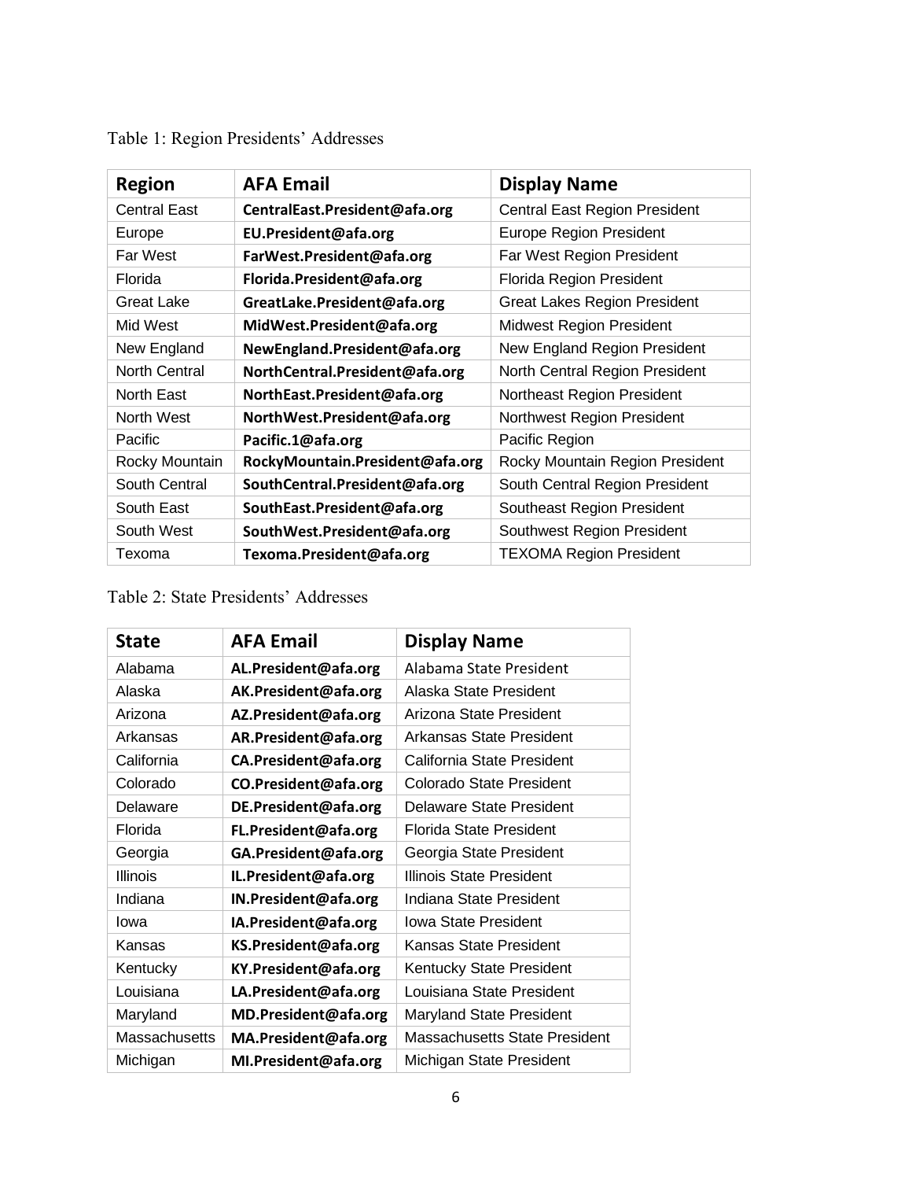| <b>Region</b>       | <b>AFA Email</b>                | <b>Display Name</b>                  |
|---------------------|---------------------------------|--------------------------------------|
| <b>Central East</b> | CentralEast.President@afa.org   | <b>Central East Region President</b> |
| Europe              | EU.President@afa.org            | <b>Europe Region President</b>       |
| Far West            | FarWest.President@afa.org       | Far West Region President            |
| Florida             | Florida.President@afa.org       | <b>Florida Region President</b>      |
| <b>Great Lake</b>   | GreatLake.President@afa.org     | Great Lakes Region President         |
| Mid West            | MidWest.President@afa.org       | Midwest Region President             |
| New England         | NewEngland.President@afa.org    | New England Region President         |
| North Central       | NorthCentral.President@afa.org  | North Central Region President       |
| North East          | NorthEast.President@afa.org     | Northeast Region President           |
| North West          | NorthWest.President@afa.org     | Northwest Region President           |
| Pacific             | Pacific.1@afa.org               | Pacific Region                       |
| Rocky Mountain      | RockyMountain.President@afa.org | Rocky Mountain Region President      |
| South Central       | SouthCentral.President@afa.org  | South Central Region President       |
| South East          | SouthEast.President@afa.org     | Southeast Region President           |
| South West          | SouthWest.President@afa.org     | Southwest Region President           |
| Texoma              | Texoma.President@afa.org        | <b>TEXOMA Region President</b>       |

<span id="page-5-0"></span>

|  | Table 1: Region Presidents' Addresses |  |
|--|---------------------------------------|--|
|  |                                       |  |

### <span id="page-5-1"></span>Table 2: State Presidents' Addresses

| <b>State</b>  | <b>AFA Email</b>     | <b>Display Name</b>                  |
|---------------|----------------------|--------------------------------------|
| Alabama       | AL.President@afa.org | Alabama State President              |
| Alaska        | AK.President@afa.org | Alaska State President               |
| Arizona       | AZ.President@afa.org | Arizona State President              |
| Arkansas      | AR.President@afa.org | Arkansas State President             |
| California    | CA.President@afa.org | California State President           |
| Colorado      | CO.President@afa.org | Colorado State President             |
| Delaware      | DE.President@afa.org | <b>Delaware State President</b>      |
| Florida       | FL.President@afa.org | <b>Florida State President</b>       |
| Georgia       | GA.President@afa.org | Georgia State President              |
| Illinois      | IL.President@afa.org | Illinois State President             |
| Indiana       | IN.President@afa.org | Indiana State President              |
| lowa          | IA.President@afa.org | <b>Iowa State President</b>          |
| Kansas        | KS.President@afa.org | <b>Kansas State President</b>        |
| Kentucky      | KY.President@afa.org | Kentucky State President             |
| Louisiana     | LA.President@afa.org | Louisiana State President            |
| Maryland      | MD.President@afa.org | Maryland State President             |
| Massachusetts | MA.President@afa.org | <b>Massachusetts State President</b> |
| Michigan      | MI.President@afa.org | Michigan State President             |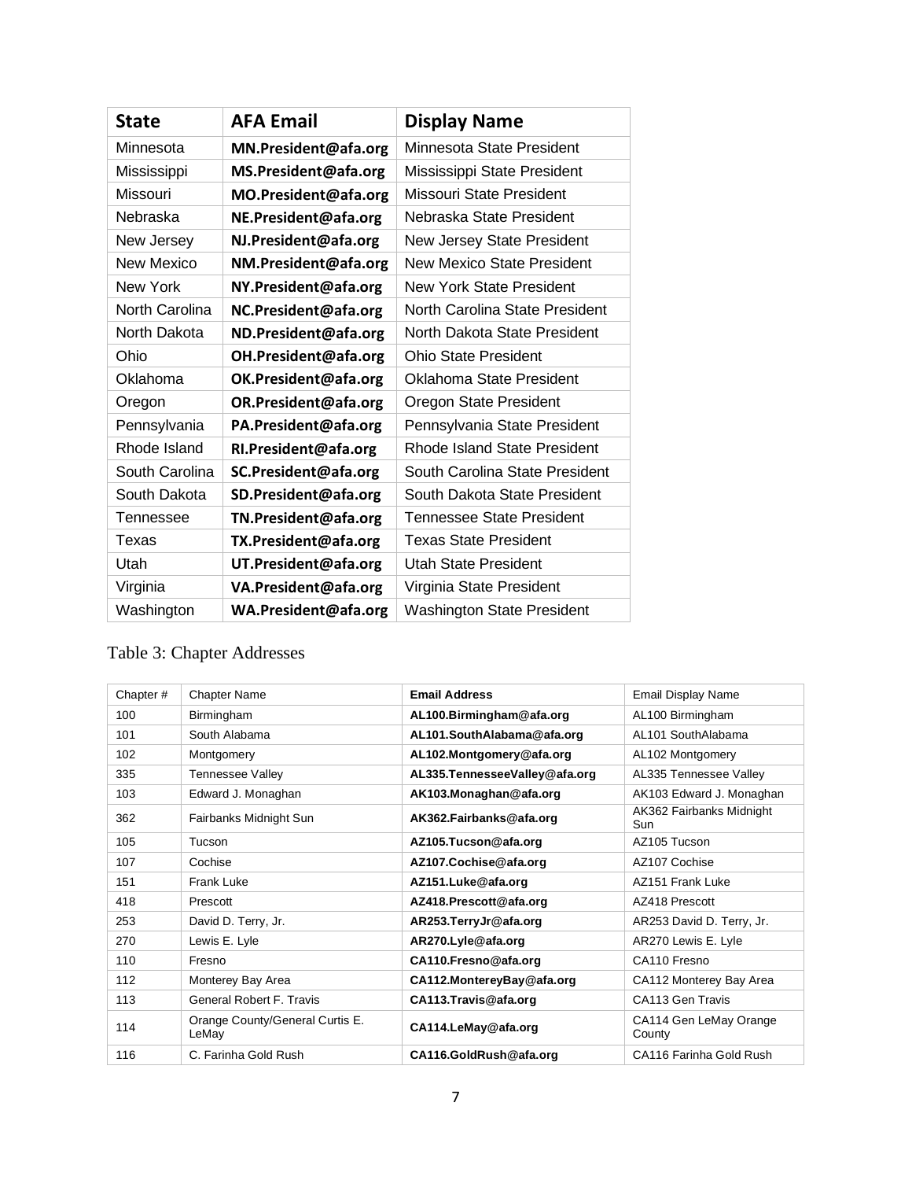| <b>State</b>      | <b>AFA Email</b>     | <b>Display Name</b>                 |
|-------------------|----------------------|-------------------------------------|
| Minnesota         | MN.President@afa.org | Minnesota State President           |
| Mississippi       | MS.President@afa.org | Mississippi State President         |
| Missouri          | MO.President@afa.org | Missouri State President            |
| Nebraska          | NE.President@afa.org | Nebraska State President            |
| New Jersey        | NJ.President@afa.org | New Jersey State President          |
| <b>New Mexico</b> | NM.President@afa.org | <b>New Mexico State President</b>   |
| <b>New York</b>   | NY.President@afa.org | <b>New York State President</b>     |
| North Carolina    | NC.President@afa.org | North Carolina State President      |
| North Dakota      | ND.President@afa.org | North Dakota State President        |
| Ohio              | OH.President@afa.org | <b>Ohio State President</b>         |
| Oklahoma          | OK.President@afa.org | Oklahoma State President            |
| Oregon            | OR.President@afa.org | Oregon State President              |
| Pennsylvania      | PA.President@afa.org | Pennsylvania State President        |
| Rhode Island      | RI.President@afa.org | <b>Rhode Island State President</b> |
| South Carolina    | SC.President@afa.org | South Carolina State President      |
| South Dakota      | SD.President@afa.org | South Dakota State President        |
| Tennessee         | TN.President@afa.org | <b>Tennessee State President</b>    |
| Texas             | TX.President@afa.org | <b>Texas State President</b>        |
| Utah              | UT.President@afa.org | <b>Utah State President</b>         |
| Virginia          | VA.President@afa.org | Virginia State President            |
| Washington        | WA.President@afa.org | <b>Washington State President</b>   |

### <span id="page-6-0"></span>Table 3: Chapter Addresses

| Chapter# | <b>Chapter Name</b>                      | <b>Email Address</b>             | Email Display Name               |
|----------|------------------------------------------|----------------------------------|----------------------------------|
| 100      | Birmingham                               | AL100.Birmingham@afa.org         | AL100 Birmingham                 |
| 101      | South Alabama                            | AL101.SouthAlabama@afa.org       | AL101 SouthAlabama               |
| 102      | Montgomery                               | AL102.Montgomery@afa.org         | AL102 Montgomery                 |
| 335      | <b>Tennessee Valley</b>                  | AL335. Tennessee Valley @afa.org | AL335 Tennessee Valley           |
| 103      | Edward J. Monaghan                       | AK103.Monaghan@afa.org           | AK103 Edward J. Monaghan         |
| 362      | Fairbanks Midnight Sun                   | AK362.Fairbanks@afa.org          | AK362 Fairbanks Midnight<br>Sun  |
| 105      | Tucson                                   | AZ105.Tucson@afa.org             | AZ105 Tucson                     |
| 107      | Cochise                                  | AZ107.Cochise@afa.org            | AZ107 Cochise                    |
| 151      | Frank Luke                               | AZ151.Luke@afa.org               | AZ151 Frank Luke                 |
| 418      | Prescott                                 | AZ418.Prescott@afa.org           | AZ418 Prescott                   |
| 253      | David D. Terry, Jr.                      | AR253.TerryJr@afa.org            | AR253 David D. Terry, Jr.        |
| 270      | Lewis E. Lyle                            | AR270.Lyle@afa.org               | AR270 Lewis E. Lyle              |
| 110      | Fresno                                   | CA110.Fresno@afa.org             | CA110 Fresno                     |
| 112      | Monterey Bay Area                        | CA112.MontereyBay@afa.org        | CA112 Monterey Bay Area          |
| 113      | <b>General Robert F. Travis</b>          | CA113.Travis@afa.org             | CA113 Gen Travis                 |
| 114      | Orange County/General Curtis E.<br>LeMay | CA114.LeMay@afa.org              | CA114 Gen LeMay Orange<br>County |
| 116      | C. Farinha Gold Rush                     | CA116.GoldRush@afa.org           | CA116 Farinha Gold Rush          |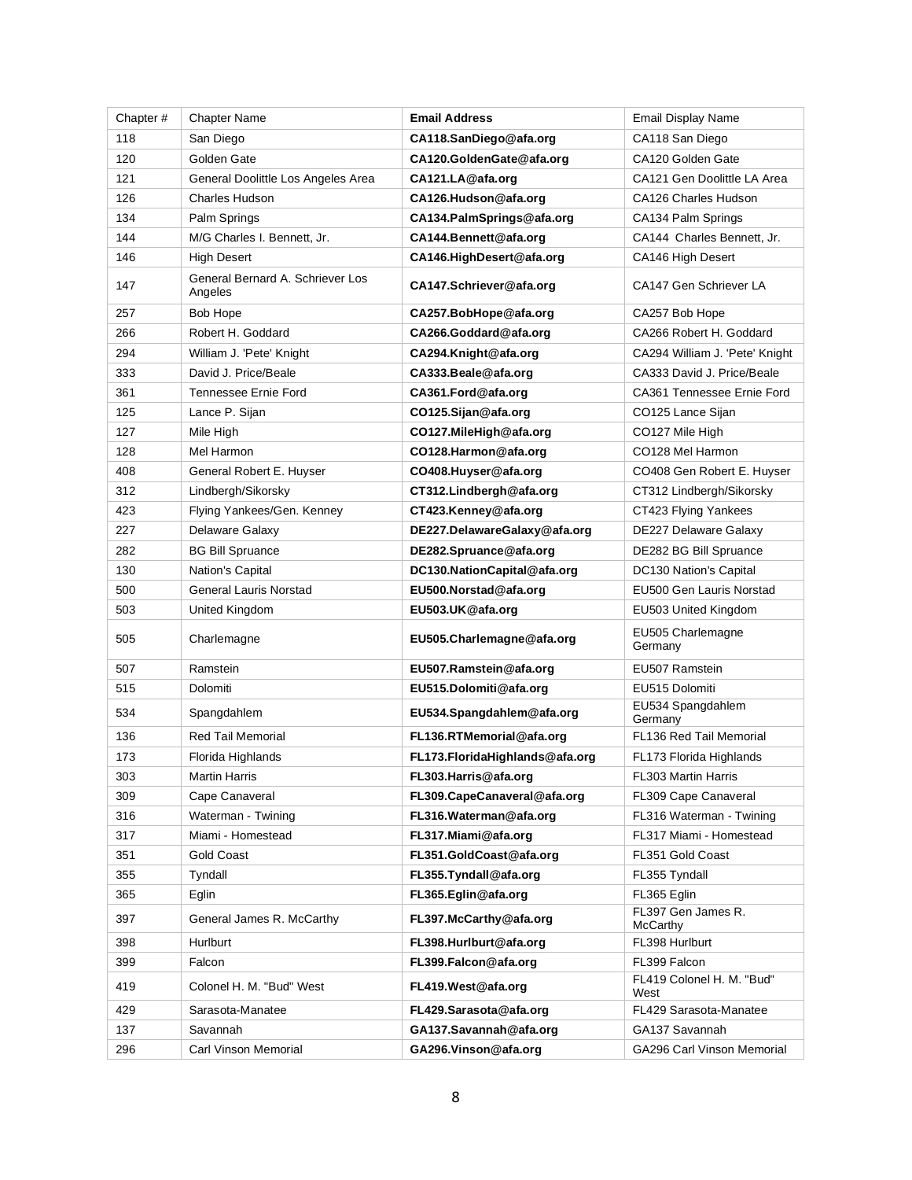| Chapter# | <b>Chapter Name</b>                         | <b>Email Address</b>             | <b>Email Display Name</b>         |
|----------|---------------------------------------------|----------------------------------|-----------------------------------|
| 118      | San Diego                                   | CA118.SanDiego@afa.org           | CA118 San Diego                   |
| 120      | Golden Gate                                 | CA120.GoldenGate@afa.org         | CA120 Golden Gate                 |
| 121      | General Doolittle Los Angeles Area          | CA121.LA@afa.org                 | CA121 Gen Doolittle LA Area       |
| 126      | Charles Hudson                              | CA126.Hudson@afa.org             | CA126 Charles Hudson              |
| 134      | Palm Springs                                | CA134.PalmSprings@afa.org        | CA134 Palm Springs                |
| 144      | M/G Charles I. Bennett, Jr.                 | CA144.Bennett@afa.org            | CA144 Charles Bennett, Jr.        |
| 146      | <b>High Desert</b>                          | CA146.HighDesert@afa.org         | CA146 High Desert                 |
| 147      | General Bernard A. Schriever Los<br>Angeles | CA147.Schriever@afa.org          | CA147 Gen Schriever LA            |
| 257      | Bob Hope                                    | CA257.BobHope@afa.org            | CA257 Bob Hope                    |
| 266      | Robert H. Goddard                           | CA266.Goddard@afa.org            | CA266 Robert H. Goddard           |
| 294      | William J. 'Pete' Knight                    | CA294.Knight@afa.org             | CA294 William J. 'Pete' Knight    |
| 333      | David J. Price/Beale                        | CA333.Beale@afa.org              | CA333 David J. Price/Beale        |
| 361      | Tennessee Ernie Ford                        | CA361.Ford@afa.org               | CA361 Tennessee Ernie Ford        |
| 125      | Lance P. Sijan                              | CO125.Sijan@afa.org              | CO125 Lance Sijan                 |
| 127      | Mile High                                   | CO127.MileHigh@afa.org           | CO127 Mile High                   |
| 128      | Mel Harmon                                  | CO128.Harmon@afa.org             | CO128 Mel Harmon                  |
| 408      | General Robert E. Huyser                    | CO408.Huyser@afa.org             | CO408 Gen Robert E. Huyser        |
| 312      | Lindbergh/Sikorsky                          | CT312.Lindbergh@afa.org          | CT312 Lindbergh/Sikorsky          |
| 423      | Flying Yankees/Gen. Kenney                  | CT423.Kenney@afa.org             | CT423 Flying Yankees              |
| 227      | Delaware Galaxy                             | DE227.DelawareGalaxy@afa.org     | DE227 Delaware Galaxy             |
| 282      | <b>BG Bill Spruance</b>                     | DE282.Spruance@afa.org           | DE282 BG Bill Spruance            |
| 130      | Nation's Capital                            | DC130.NationCapital@afa.org      | DC130 Nation's Capital            |
| 500      | <b>General Lauris Norstad</b>               | EU500.Norstad@afa.org            | EU500 Gen Lauris Norstad          |
| 503      | United Kingdom                              | EU503.UK@afa.org                 | EU503 United Kingdom              |
| 505      | Charlemagne                                 | EU505.Charlemagne@afa.org        | EU505 Charlemagne<br>Germany      |
| 507      | Ramstein                                    | EU507.Ramstein@afa.org           | EU507 Ramstein                    |
| 515      | Dolomiti                                    | EU515.Dolomiti@afa.org           | EU515 Dolomiti                    |
| 534      | Spangdahlem                                 | EU534.Spangdahlem@afa.org        | EU534 Spangdahlem<br>Germany      |
| 136      | <b>Red Tail Memorial</b>                    | FL136.RTMemorial@afa.org         | FL136 Red Tail Memorial           |
| 173      | Florida Highlands                           | FL173. Florida Highlands@afa.org | FL173 Florida Highlands           |
| 303      | Martin Harris                               | FL303.Harris@afa.org             | FL303 Martin Harris               |
| 309      | Cape Canaveral                              | FL309.CapeCanaveral@afa.org      | FL309 Cape Canaveral              |
| 316      | Waterman - Twining                          | FL316.Waterman@afa.org           | FL316 Waterman - Twining          |
| 317      | Miami - Homestead                           | FL317.Miami@afa.org              | FL317 Miami - Homestead           |
| 351      | Gold Coast                                  | FL351.GoldCoast@afa.org          | FL351 Gold Coast                  |
| 355      | Tyndall                                     | FL355.Tyndall@afa.org            | FL355 Tyndall                     |
| 365      | Eglin                                       | FL365.Eglin@afa.org              | FL365 Eglin                       |
| 397      | General James R. McCarthy                   | FL397.McCarthy@afa.org           | FL397 Gen James R.<br>McCarthy    |
| 398      | Hurlburt                                    | FL398.Hurlburt@afa.org           | FL398 Hurlburt                    |
| 399      | Falcon                                      | FL399.Falcon@afa.org             | FL399 Falcon                      |
| 419      | Colonel H. M. "Bud" West                    | FL419.West@afa.org               | FL419 Colonel H. M. "Bud"<br>West |
| 429      | Sarasota-Manatee                            | FL429.Sarasota@afa.org           | FL429 Sarasota-Manatee            |
| 137      | Savannah                                    | GA137.Savannah@afa.org           | GA137 Savannah                    |
| 296      | Carl Vinson Memorial                        | GA296.Vinson@afa.org             | <b>GA296 Carl Vinson Memorial</b> |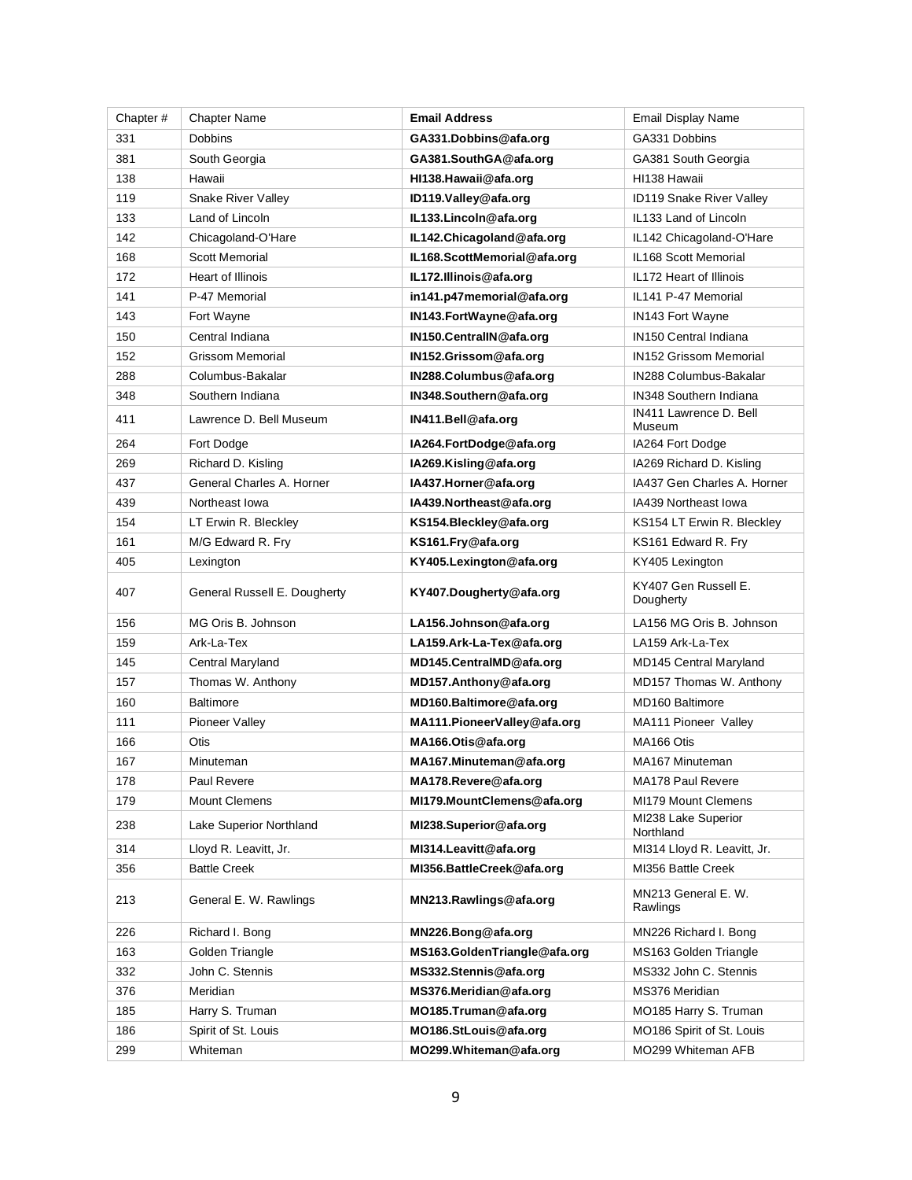| Chapter# | <b>Chapter Name</b>          | <b>Email Address</b>           | <b>Email Display Name</b>         |
|----------|------------------------------|--------------------------------|-----------------------------------|
| 331      | <b>Dobbins</b>               | GA331.Dobbins@afa.org          | GA331 Dobbins                     |
| 381      | South Georgia                | GA381.SouthGA@afa.org          | GA381 South Georgia               |
| 138      | Hawaii                       | HI138.Hawaii@afa.org           | HI138 Hawaii                      |
| 119      | Snake River Valley           | ID119.Valley@afa.org           | ID119 Snake River Valley          |
| 133      | Land of Lincoln              | IL133. Lincoln@afa.org         | IL133 Land of Lincoln             |
| 142      | Chicagoland-O'Hare           | IL142. Chicagoland @afa.org    | IL142 Chicagoland-O'Hare          |
| 168      | Scott Memorial               | IL168.ScottMemorial@afa.org    | IL168 Scott Memorial              |
| 172      | <b>Heart of Illinois</b>     | IL172.Illinois@afa.org         | IL172 Heart of Illinois           |
| 141      | P-47 Memorial                | in141.p47memorial@afa.org      | IL141 P-47 Memorial               |
| 143      | Fort Wayne                   | IN143. FortWayne @afa.org      | <b>IN143 Fort Wayne</b>           |
| 150      | Central Indiana              | IN150.CentralIN@afa.org        | <b>IN150 Central Indiana</b>      |
| 152      | <b>Grissom Memorial</b>      | IN152.Grissom@afa.org          | <b>IN152 Grissom Memorial</b>     |
| 288      | Columbus-Bakalar             | IN288.Columbus@afa.org         | IN288 Columbus-Bakalar            |
| 348      | Southern Indiana             | IN348.Southern@afa.org         | <b>IN348 Southern Indiana</b>     |
| 411      | Lawrence D. Bell Museum      | IN411.Bell@afa.org             | IN411 Lawrence D. Bell<br>Museum  |
| 264      | Fort Dodge                   | IA264.FortDodge@afa.org        | IA264 Fort Dodge                  |
| 269      | Richard D. Kisling           | IA269.Kisling@afa.org          | IA269 Richard D. Kisling          |
| 437      | General Charles A. Horner    | IA437. Horner @afa.org         | IA437 Gen Charles A. Horner       |
| 439      | Northeast Iowa               | IA439.Northeast@afa.org        | IA439 Northeast Iowa              |
| 154      | LT Erwin R. Bleckley         | KS154.Bleckley@afa.org         | KS154 LT Erwin R. Bleckley        |
| 161      | M/G Edward R. Fry            | KS161.Fry@afa.org              | KS161 Edward R. Fry               |
| 405      | Lexington                    | KY405.Lexington@afa.org        | KY405 Lexington                   |
| 407      | General Russell E. Dougherty | KY407.Dougherty@afa.org        | KY407 Gen Russell E.<br>Dougherty |
| 156      | MG Oris B. Johnson           | LA156.Johnson@afa.org          | LA156 MG Oris B. Johnson          |
| 159      | Ark-La-Tex                   | LA159.Ark-La-Tex@afa.org       | LA159 Ark-La-Tex                  |
| 145      | Central Maryland             | MD145.CentralMD@afa.org        | MD145 Central Maryland            |
| 157      | Thomas W. Anthony            | MD157.Anthony@afa.org          | MD157 Thomas W. Anthony           |
| 160      | <b>Baltimore</b>             | MD160.Baltimore@afa.org        | MD160 Baltimore                   |
| 111      | Pioneer Valley               | MA111. Pioneer Valley @afa.org | MA111 Pioneer Valley              |
| 166      | <b>Otis</b>                  | MA166.Otis@afa.org             | MA166 Otis                        |
| 167      | Minuteman                    | MA167.Minuteman@afa.org        | MA167 Minuteman                   |
| 178      | Paul Revere                  | MA178.Revere@afa.org           | MA178 Paul Revere                 |
| 179      | <b>Mount Clemens</b>         | MI179.MountClemens@afa.org     | MI179 Mount Clemens               |
| 238      | Lake Superior Northland      | MI238.Superior@afa.org         | MI238 Lake Superior<br>Northland  |
| 314      | Lloyd R. Leavitt, Jr.        | MI314. Leavitt @afa.org        | MI314 Lloyd R. Leavitt, Jr.       |
| 356      | <b>Battle Creek</b>          | MI356.BattleCreek@afa.org      | MI356 Battle Creek                |
| 213      | General E. W. Rawlings       | MN213.Rawlings@afa.org         | MN213 General E. W.<br>Rawlings   |
| 226      | Richard I. Bong              | MN226.Bong@afa.org             | MN226 Richard I. Bong             |
| 163      | Golden Triangle              | MS163.GoldenTriangle@afa.org   | MS163 Golden Triangle             |
| 332      | John C. Stennis              | MS332.Stennis@afa.org          | MS332 John C. Stennis             |
| 376      | Meridian                     | MS376.Meridian@afa.org         | MS376 Meridian                    |
| 185      | Harry S. Truman              | MO185.Truman@afa.org           | MO185 Harry S. Truman             |
| 186      | Spirit of St. Louis          | MO186.StLouis@afa.org          | MO186 Spirit of St. Louis         |
| 299      | Whiteman                     | MO299. Whiteman@afa.org        | MO299 Whiteman AFB                |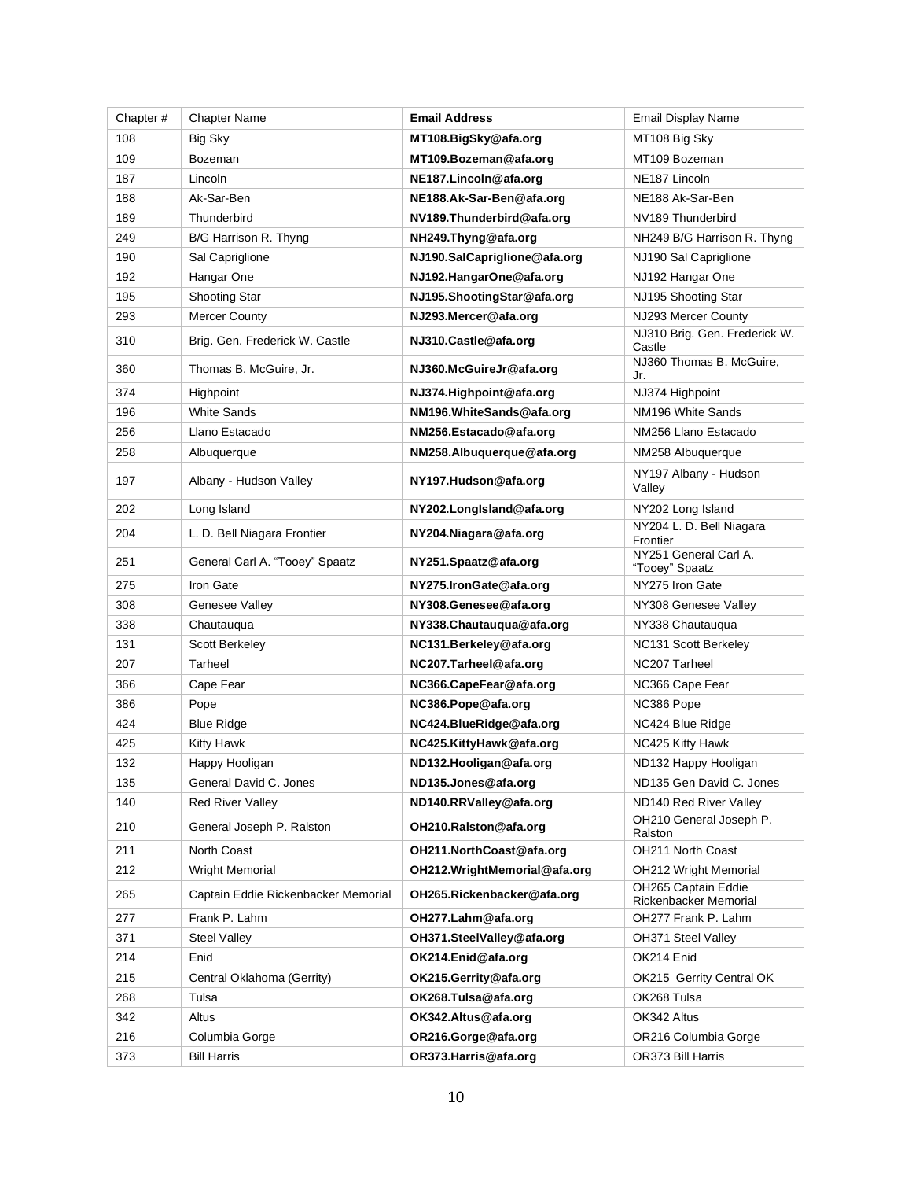| Chapter# | <b>Chapter Name</b>                 | <b>Email Address</b>         | Email Display Name                           |
|----------|-------------------------------------|------------------------------|----------------------------------------------|
| 108      | Big Sky                             | MT108.BigSky@afa.org         | MT108 Big Sky                                |
| 109      | Bozeman                             | MT109.Bozeman@afa.org        | MT109 Bozeman                                |
| 187      | Lincoln                             | NE187.Lincoln@afa.org        | NE <sub>187</sub> Lincoln                    |
| 188      | Ak-Sar-Ben                          | NE188.Ak-Sar-Ben@afa.org     | NE188 Ak-Sar-Ben                             |
| 189      | Thunderbird                         | NV189. Thunderbird @afa.org  | NV189 Thunderbird                            |
| 249      | B/G Harrison R. Thyng               | NH249.Thyng@afa.org          | NH249 B/G Harrison R. Thyng                  |
| 190      | Sal Capriglione                     | NJ190.SalCapriglione@afa.org | NJ190 Sal Capriglione                        |
| 192      | Hangar One                          | NJ192.HangarOne@afa.org      | NJ192 Hangar One                             |
| 195      | Shooting Star                       | NJ195.ShootingStar@afa.org   | NJ195 Shooting Star                          |
| 293      | <b>Mercer County</b>                | NJ293.Mercer@afa.org         | NJ293 Mercer County                          |
| 310      | Brig. Gen. Frederick W. Castle      | NJ310.Castle@afa.org         | NJ310 Brig. Gen. Frederick W.<br>Castle      |
| 360      | Thomas B. McGuire, Jr.              | NJ360.McGuireJr@afa.org      | NJ360 Thomas B. McGuire,<br>Jr.              |
| 374      | Highpoint                           | NJ374.Highpoint@afa.org      | NJ374 Highpoint                              |
| 196      | <b>White Sands</b>                  | NM196.WhiteSands@afa.org     | NM196 White Sands                            |
| 256      | Llano Estacado                      | NM256.Estacado@afa.org       | NM256 Llano Estacado                         |
| 258      | Albuquerque                         | NM258.Albuquerque@afa.org    | NM258 Albuquerque                            |
| 197      | Albany - Hudson Valley              | NY197.Hudson@afa.org         | NY197 Albany - Hudson<br>Valley              |
| 202      | Long Island                         | NY202.LongIsland@afa.org     | NY202 Long Island                            |
| 204      | L. D. Bell Niagara Frontier         | NY204.Niagara@afa.org        | NY204 L. D. Bell Niagara<br>Frontier         |
| 251      | General Carl A. "Tooey" Spaatz      | NY251.Spaatz@afa.org         | NY251 General Carl A.<br>"Tooey" Spaatz      |
| 275      | Iron Gate                           | NY275.IronGate@afa.org       | NY275 Iron Gate                              |
| 308      | Genesee Valley                      | NY308.Genesee@afa.org        | NY308 Genesee Valley                         |
| 338      | Chautauqua                          | NY338.Chautauqua@afa.org     | NY338 Chautauqua                             |
| 131      | <b>Scott Berkeley</b>               | NC131.Berkeley@afa.org       | NC131 Scott Berkeley                         |
| 207      | Tarheel                             | NC207.Tarheel@afa.org        | NC207 Tarheel                                |
| 366      | Cape Fear                           | NC366.CapeFear@afa.org       | NC366 Cape Fear                              |
| 386      | Pope                                | NC386.Pope@afa.org           | NC386 Pope                                   |
| 424      | <b>Blue Ridge</b>                   | NC424.BlueRidge@afa.org      | NC424 Blue Ridge                             |
| 425      | Kitty Hawk                          | NC425.KittyHawk@afa.org      | NC425 Kitty Hawk                             |
| 132      | Happy Hooligan                      | ND132.Hooligan@afa.org       | ND132 Happy Hooligan                         |
| 135      | General David C. Jones              | ND135.Jones@afa.org          | ND135 Gen David C. Jones                     |
| 140      | <b>Red River Valley</b>             | ND140.RRValley@afa.org       | ND140 Red River Valley                       |
| 210      | General Joseph P. Ralston           | OH210.Ralston@afa.org        | OH210 General Joseph P.<br>Ralston           |
| 211      | North Coast                         | OH211.NorthCoast@afa.org     | OH211 North Coast                            |
| 212      | <b>Wright Memorial</b>              | OH212.WrightMemorial@afa.org | <b>OH212 Wright Memorial</b>                 |
| 265      | Captain Eddie Rickenbacker Memorial | OH265. Rickenbacker@afa.org  | OH265 Captain Eddie<br>Rickenbacker Memorial |
| 277      | Frank P. Lahm                       | OH277.Lahm@afa.org           | OH277 Frank P. Lahm                          |
| 371      | <b>Steel Valley</b>                 | OH371.SteelValley@afa.org    | OH371 Steel Valley                           |
| 214      | Enid                                | OK214.Enid@afa.org           | OK214 Enid                                   |
| 215      | Central Oklahoma (Gerrity)          | OK215.Gerrity@afa.org        | OK215 Gerrity Central OK                     |
| 268      | Tulsa                               | OK268.Tulsa@afa.org          | OK268 Tulsa                                  |
| 342      | Altus                               | OK342.Altus@afa.org          | OK342 Altus                                  |
| 216      | Columbia Gorge                      | OR216.Gorge@afa.org          | OR216 Columbia Gorge                         |
| 373      | Bill Harris                         | OR373.Harris@afa.org         | OR373 Bill Harris                            |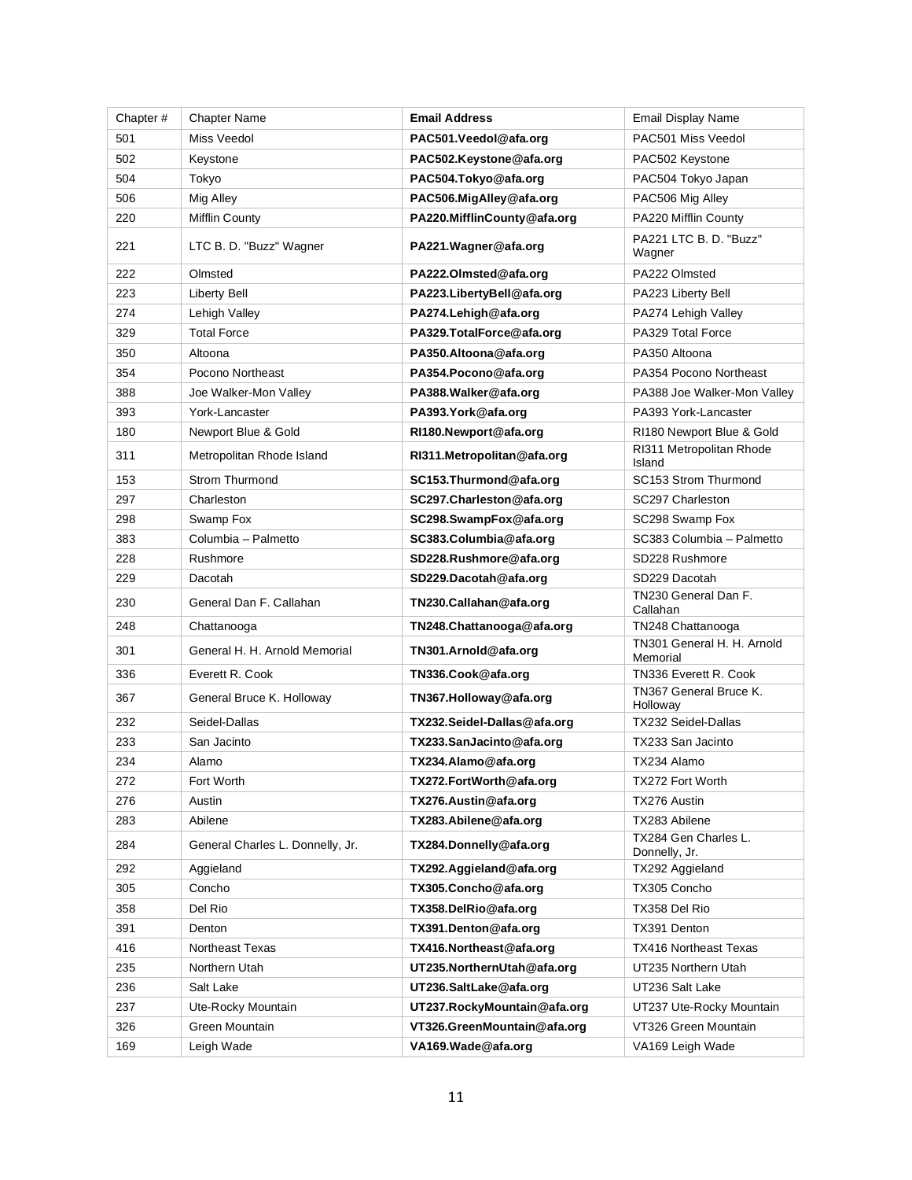| Chapter# | <b>Chapter Name</b>              | <b>Email Address</b>         | Email Display Name                     |
|----------|----------------------------------|------------------------------|----------------------------------------|
| 501      | Miss Veedol                      | PAC501.Veedol@afa.org        | PAC501 Miss Veedol                     |
| 502      | Keystone                         | PAC502.Keystone@afa.org      | PAC502 Keystone                        |
| 504      | Tokyo                            | PAC504.Tokyo@afa.org         | PAC504 Tokyo Japan                     |
| 506      | Mig Alley                        | PAC506.MigAlley@afa.org      | PAC506 Mig Alley                       |
| 220      | Mifflin County                   | PA220.MifflinCounty@afa.org  | PA220 Mifflin County                   |
| 221      | LTC B. D. "Buzz" Wagner          | PA221. Wagner @afa.org       | PA221 LTC B. D. "Buzz"<br>Wagner       |
| 222      | Olmsted                          | PA222.Olmsted@afa.org        | PA222 Olmsted                          |
| 223      | Liberty Bell                     | PA223. Liberty Bell @afa.org | PA223 Liberty Bell                     |
| 274      | Lehigh Valley                    | PA274. Lehigh @afa.org       | PA274 Lehigh Valley                    |
| 329      | <b>Total Force</b>               | PA329.TotalForce@afa.org     | PA329 Total Force                      |
| 350      | Altoona                          | PA350.Altoona@afa.org        | PA350 Altoona                          |
| 354      | Pocono Northeast                 | PA354.Pocono@afa.org         | PA354 Pocono Northeast                 |
| 388      | Joe Walker-Mon Valley            | PA388. Walker @afa.org       | PA388 Joe Walker-Mon Valley            |
| 393      | York-Lancaster                   | PA393. York@afa.org          | PA393 York-Lancaster                   |
| 180      | Newport Blue & Gold              | RI180.Newport@afa.org        | RI180 Newport Blue & Gold              |
| 311      | Metropolitan Rhode Island        | RI311.Metropolitan@afa.org   | RI311 Metropolitan Rhode<br>Island     |
| 153      | <b>Strom Thurmond</b>            | SC153.Thurmond@afa.org       | SC153 Strom Thurmond                   |
| 297      | Charleston                       | SC297.Charleston@afa.org     | SC297 Charleston                       |
| 298      | Swamp Fox                        | SC298.SwampFox@afa.org       | SC298 Swamp Fox                        |
| 383      | Columbia - Palmetto              | SC383.Columbia@afa.org       | SC383 Columbia - Palmetto              |
| 228      | Rushmore                         | SD228.Rushmore@afa.org       | SD228 Rushmore                         |
| 229      | Dacotah                          | SD229.Dacotah@afa.org        | SD229 Dacotah                          |
| 230      | General Dan F. Callahan          | TN230.Callahan@afa.org       | TN230 General Dan F.<br>Callahan       |
| 248      | Chattanooga                      | TN248.Chattanooga@afa.org    | TN248 Chattanooga                      |
| 301      | General H. H. Arnold Memorial    | TN301.Arnold@afa.org         | TN301 General H. H. Arnold<br>Memorial |
| 336      | Everett R. Cook                  | TN336.Cook@afa.org           | TN336 Everett R. Cook                  |
| 367      | General Bruce K. Holloway        | TN367.Holloway@afa.org       | TN367 General Bruce K.<br>Holloway     |
| 232      | Seidel-Dallas                    | TX232.Seidel-Dallas@afa.org  | <b>TX232 Seidel-Dallas</b>             |
| 233      | San Jacinto                      | TX233.SanJacinto@afa.org     | TX233 San Jacinto                      |
| 234      | Alamo                            | TX234.Alamo@afa.org          | TX234 Alamo                            |
| 272      | Fort Worth                       | TX272.FortWorth@afa.org      | TX272 Fort Worth                       |
| 276      | Austin                           | TX276.Austin@afa.org         | TX276 Austin                           |
| 283      | Abilene                          | TX283.Abilene@afa.org        | TX283 Abilene                          |
| 284      | General Charles L. Donnelly, Jr. | TX284.Donnelly@afa.org       | TX284 Gen Charles L.<br>Donnelly, Jr.  |
| 292      | Aggieland                        | TX292.Aggieland@afa.org      | TX292 Aggieland                        |
| 305      | Concho                           | TX305.Concho@afa.org         | TX305 Concho                           |
| 358      | Del Rio                          | TX358.DelRio@afa.org         | TX358 Del Rio                          |
| 391      | Denton                           | TX391.Denton@afa.org         | TX391 Denton                           |
| 416      | Northeast Texas                  | TX416.Northeast@afa.org      | TX416 Northeast Texas                  |
| 235      | Northern Utah                    | UT235.NorthernUtah@afa.org   | UT235 Northern Utah                    |
| 236      | Salt Lake                        | UT236.SaltLake@afa.org       | UT236 Salt Lake                        |
| 237      | Ute-Rocky Mountain               | UT237.RockyMountain@afa.org  | UT237 Ute-Rocky Mountain               |
| 326      | Green Mountain                   | VT326.GreenMountain@afa.org  | VT326 Green Mountain                   |
| 169      | Leigh Wade                       | VA169. Wade @afa.org         | VA169 Leigh Wade                       |